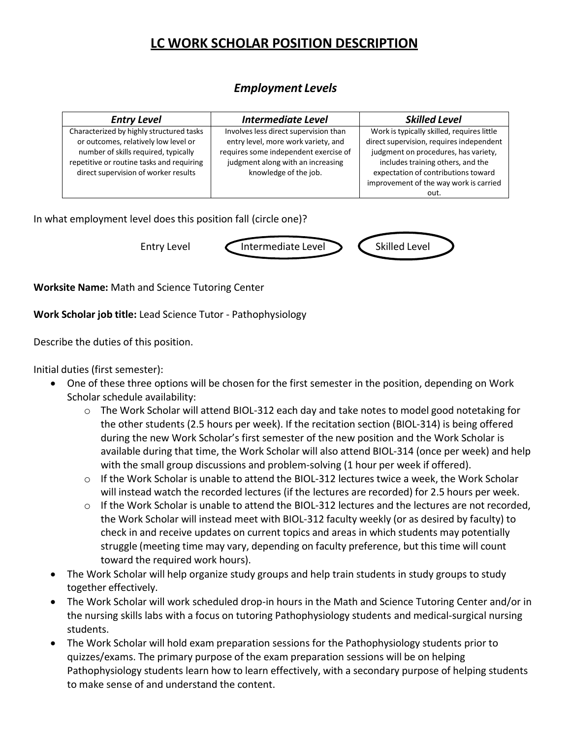## **LC WORK SCHOLAR POSITION DESCRIPTION**

## *Employment Levels*

| <b>Entry Level</b>                        | <b>Intermediate Level</b>             | <b>Skilled Level</b>                       |
|-------------------------------------------|---------------------------------------|--------------------------------------------|
| Characterized by highly structured tasks  | Involves less direct supervision than | Work is typically skilled, requires little |
| or outcomes, relatively low level or      | entry level, more work variety, and   | direct supervision, requires independent   |
| number of skills required, typically      | requires some independent exercise of | judgment on procedures, has variety,       |
| repetitive or routine tasks and requiring | judgment along with an increasing     | includes training others, and the          |
| direct supervision of worker results      | knowledge of the job.                 | expectation of contributions toward        |
|                                           |                                       | improvement of the way work is carried     |
|                                           |                                       | out.                                       |

In what employment level does this position fall (circle one)?



**Worksite Name:** Math and Science Tutoring Center

**Work Scholar job title:** Lead Science Tutor - Pathophysiology

Describe the duties of this position.

Initial duties (first semester):

- One of these three options will be chosen for the first semester in the position, depending on Work Scholar schedule availability:
	- $\circ$  The Work Scholar will attend BIOL-312 each day and take notes to model good notetaking for the other students (2.5 hours per week). If the recitation section (BIOL-314) is being offered during the new Work Scholar's first semester of the new position and the Work Scholar is available during that time, the Work Scholar will also attend BIOL-314 (once per week) and help with the small group discussions and problem-solving (1 hour per week if offered).
	- $\circ$  If the Work Scholar is unable to attend the BIOL-312 lectures twice a week, the Work Scholar will instead watch the recorded lectures (if the lectures are recorded) for 2.5 hours per week.
	- $\circ$  If the Work Scholar is unable to attend the BIOL-312 lectures and the lectures are not recorded, the Work Scholar will instead meet with BIOL-312 faculty weekly (or as desired by faculty) to check in and receive updates on current topics and areas in which students may potentially struggle (meeting time may vary, depending on faculty preference, but this time will count toward the required work hours).
- The Work Scholar will help organize study groups and help train students in study groups to study together effectively.
- The Work Scholar will work scheduled drop-in hours in the Math and Science Tutoring Center and/or in the nursing skills labs with a focus on tutoring Pathophysiology students and medical-surgical nursing students.
- The Work Scholar will hold exam preparation sessions for the Pathophysiology students prior to quizzes/exams. The primary purpose of the exam preparation sessions will be on helping Pathophysiology students learn how to learn effectively, with a secondary purpose of helping students to make sense of and understand the content.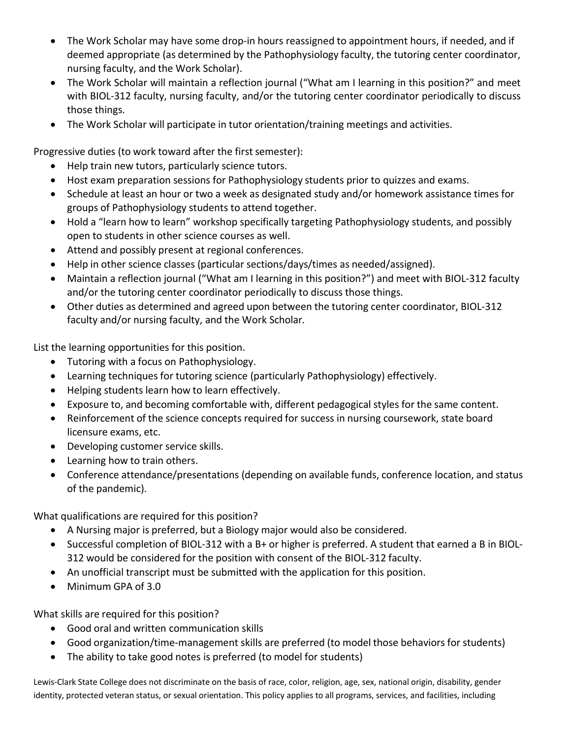- The Work Scholar may have some drop-in hours reassigned to appointment hours, if needed, and if deemed appropriate (as determined by the Pathophysiology faculty, the tutoring center coordinator, nursing faculty, and the Work Scholar).
- The Work Scholar will maintain a reflection journal ("What am I learning in this position?" and meet with BIOL-312 faculty, nursing faculty, and/or the tutoring center coordinator periodically to discuss those things.
- The Work Scholar will participate in tutor orientation/training meetings and activities.

Progressive duties (to work toward after the first semester):

- Help train new tutors, particularly science tutors.
- Host exam preparation sessions for Pathophysiology students prior to quizzes and exams.
- Schedule at least an hour or two a week as designated study and/or homework assistance times for groups of Pathophysiology students to attend together.
- Hold a "learn how to learn" workshop specifically targeting Pathophysiology students, and possibly open to students in other science courses as well.
- Attend and possibly present at regional conferences.
- Help in other science classes (particular sections/days/times as needed/assigned).
- Maintain a reflection journal ("What am I learning in this position?") and meet with BIOL-312 faculty and/or the tutoring center coordinator periodically to discuss those things.
- Other duties as determined and agreed upon between the tutoring center coordinator, BIOL-312 faculty and/or nursing faculty, and the Work Scholar.

List the learning opportunities for this position.

- Tutoring with a focus on Pathophysiology.
- Learning techniques for tutoring science (particularly Pathophysiology) effectively.
- Helping students learn how to learn effectively.
- Exposure to, and becoming comfortable with, different pedagogical styles for the same content.
- Reinforcement of the science concepts required for success in nursing coursework, state board licensure exams, etc.
- Developing customer service skills.
- Learning how to train others.
- Conference attendance/presentations (depending on available funds, conference location, and status of the pandemic).

What qualifications are required for this position?

- A Nursing major is preferred, but a Biology major would also be considered.
- Successful completion of BIOL-312 with a B+ or higher is preferred. A student that earned a B in BIOL-312 would be considered for the position with consent of the BIOL-312 faculty.
- An unofficial transcript must be submitted with the application for this position.
- Minimum GPA of 3.0

What skills are required for this position?

- Good oral and written communication skills
- Good organization/time-management skills are preferred (to model those behaviors for students)
- The ability to take good notes is preferred (to model for students)

Lewis-Clark State College does not discriminate on the basis of race, color, religion, age, sex, national origin, disability, gender identity, protected veteran status, or sexual orientation. This policy applies to all programs, services, and facilities, including